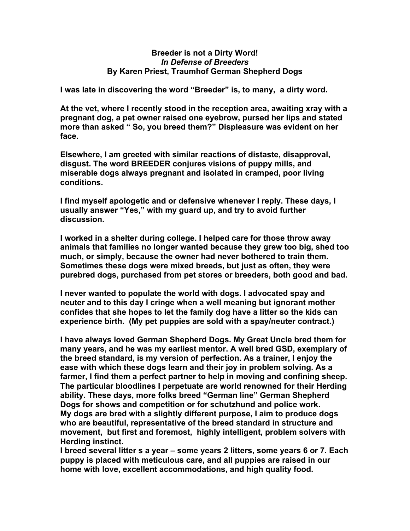## **Breeder is not a Dirty Word!** *In Defense of Breeders* **By Karen Priest, Traumhof German Shepherd Dogs**

**I was late in discovering the word "Breeder" is, to many, a dirty word.** 

**At the vet, where I recently stood in the reception area, awaiting xray with a pregnant dog, a pet owner raised one eyebrow, pursed her lips and stated more than asked " So, you breed them?" Displeasure was evident on her face.**

**Elsewhere, I am greeted with similar reactions of distaste, disapproval, disgust. The word BREEDER conjures visions of puppy mills, and miserable dogs always pregnant and isolated in cramped, poor living conditions.**

**I find myself apologetic and or defensive whenever I reply. These days, I usually answer "Yes," with my guard up, and try to avoid further discussion.**

**I worked in a shelter during college. I helped care for those throw away animals that families no longer wanted because they grew too big, shed too much, or simply, because the owner had never bothered to train them. Sometimes these dogs were mixed breeds, but just as often, they were purebred dogs, purchased from pet stores or breeders, both good and bad.**

**I never wanted to populate the world with dogs. I advocated spay and neuter and to this day I cringe when a well meaning but ignorant mother confides that she hopes to let the family dog have a litter so the kids can experience birth. (My pet puppies are sold with a spay/neuter contract.)**

**I have always loved German Shepherd Dogs. My Great Uncle bred them for many years, and he was my earliest mentor. A well bred GSD, exemplary of the breed standard, is my version of perfection. As a trainer, I enjoy the ease with which these dogs learn and their joy in problem solving. As a farmer, I find them a perfect partner to help in moving and confining sheep. The particular bloodlines I perpetuate are world renowned for their Herding ability. These days, more folks breed "German line" German Shepherd Dogs for shows and competition or for schutzhund and police work. My dogs are bred with a slightly different purpose, I aim to produce dogs who are beautiful, representative of the breed standard in structure and movement, but first and foremost, highly intelligent, problem solvers with Herding instinct.**

**I breed several litter s a year – some years 2 litters, some years 6 or 7. Each puppy is placed with meticulous care, and all puppies are raised in our home with love, excellent accommodations, and high quality food.**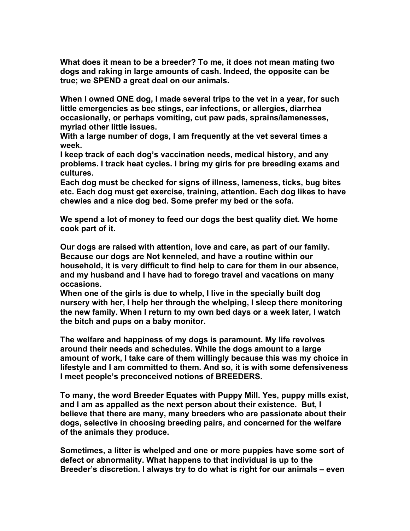**What does it mean to be a breeder? To me, it does not mean mating two dogs and raking in large amounts of cash. Indeed, the opposite can be true; we SPEND a great deal on our animals.** 

**When I owned ONE dog, I made several trips to the vet in a year, for such little emergencies as bee stings, ear infections, or allergies, diarrhea occasionally, or perhaps vomiting, cut paw pads, sprains/lamenesses, myriad other little issues.** 

**With a large number of dogs, I am frequently at the vet several times a week.** 

**I keep track of each dog's vaccination needs, medical history, and any problems. I track heat cycles. I bring my girls for pre breeding exams and cultures.** 

**Each dog must be checked for signs of illness, lameness, ticks, bug bites etc. Each dog must get exercise, training, attention. Each dog likes to have chewies and a nice dog bed. Some prefer my bed or the sofa.**

**We spend a lot of money to feed our dogs the best quality diet. We home cook part of it.**

**Our dogs are raised with attention, love and care, as part of our family. Because our dogs are Not kenneled, and have a routine within our household, it is very difficult to find help to care for them in our absence, and my husband and I have had to forego travel and vacations on many occasions.**

**When one of the girls is due to whelp, I live in the specially built dog nursery with her, I help her through the whelping, I sleep there monitoring the new family. When I return to my own bed days or a week later, I watch the bitch and pups on a baby monitor.**

**The welfare and happiness of my dogs is paramount. My life revolves around their needs and schedules. While the dogs amount to a large amount of work, I take care of them willingly because this was my choice in lifestyle and I am committed to them. And so, it is with some defensiveness I meet people's preconceived notions of BREEDERS.**

**To many, the word Breeder Equates with Puppy Mill. Yes, puppy mills exist, and I am as appalled as the next person about their existence. But, I believe that there are many, many breeders who are passionate about their dogs, selective in choosing breeding pairs, and concerned for the welfare of the animals they produce.**

**Sometimes, a litter is whelped and one or more puppies have some sort of defect or abnormality. What happens to that individual is up to the Breeder's discretion. I always try to do what is right for our animals – even**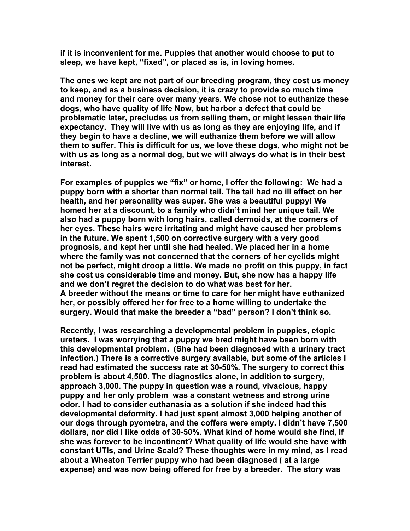**if it is inconvenient for me. Puppies that another would choose to put to sleep, we have kept, "fixed", or placed as is, in loving homes.**

**The ones we kept are not part of our breeding program, they cost us money to keep, and as a business decision, it is crazy to provide so much time and money for their care over many years. We chose not to euthanize these dogs, who have quality of life Now, but harbor a defect that could be problematic later, precludes us from selling them, or might lessen their life expectancy. They will live with us as long as they are enjoying life, and if they begin to have a decline, we will euthanize them before we will allow them to suffer. This is difficult for us, we love these dogs, who might not be with us as long as a normal dog, but we will always do what is in their best interest.**

**For examples of puppies we "fix" or home, I offer the following: We had a puppy born with a shorter than normal tail. The tail had no ill effect on her health, and her personality was super. She was a beautiful puppy! We homed her at a discount, to a family who didn't mind her unique tail. We also had a puppy born with long hairs, called dermoids, at the corners of her eyes. These hairs were irritating and might have caused her problems in the future. We spent 1,500 on corrective surgery with a very good prognosis, and kept her until she had healed. We placed her in a home where the family was not concerned that the corners of her eyelids might not be perfect, might droop a little. We made no profit on this puppy, in fact she cost us considerable time and money. But, she now has a happy life and we don't regret the decision to do what was best for her. A breeder without the means or time to care for her might have euthanized her, or possibly offered her for free to a home willing to undertake the surgery. Would that make the breeder a "bad" person? I don't think so.**

**Recently, I was researching a developmental problem in puppies, etopic ureters. I was worrying that a puppy we bred might have been born with this developmental problem. (She had been diagnosed with a urinary tract infection.) There is a corrective surgery available, but some of the articles I read had estimated the success rate at 30-50%. The surgery to correct this problem is about 4,500. The diagnostics alone, in addition to surgery, approach 3,000. The puppy in question was a round, vivacious, happy puppy and her only problem was a constant wetness and strong urine odor. I had to consider euthanasia as a solution if she indeed had this developmental deformity. I had just spent almost 3,000 helping another of our dogs through pyometra, and the coffers were empty. I didn't have 7,500 dollars, nor did I like odds of 30-50%. What kind of home would she find, If she was forever to be incontinent? What quality of life would she have with constant UTIs, and Urine Scald? These thoughts were in my mind, as I read about a Wheaton Terrier puppy who had been diagnosed ( at a large expense) and was now being offered for free by a breeder. The story was**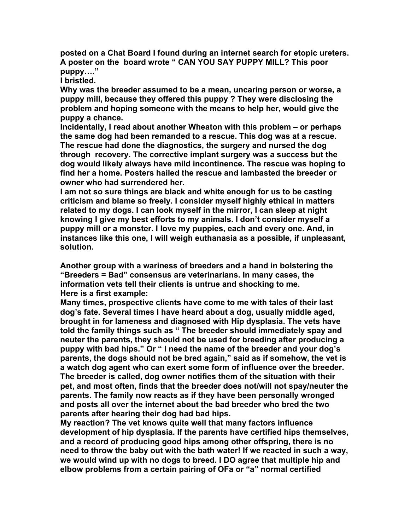**posted on a Chat Board I found during an internet search for etopic ureters. A poster on the board wrote " CAN YOU SAY PUPPY MILL? This poor puppy…."**

**I bristled.**

**Why was the breeder assumed to be a mean, uncaring person or worse, a puppy mill, because they offered this puppy ? They were disclosing the problem and hoping someone with the means to help her, would give the puppy a chance.**

**Incidentally, I read about another Wheaton with this problem – or perhaps the same dog had been remanded to a rescue. This dog was at a rescue. The rescue had done the diagnostics, the surgery and nursed the dog through recovery. The corrective implant surgery was a success but the dog would likely always have mild incontinence. The rescue was hoping to find her a home. Posters hailed the rescue and lambasted the breeder or owner who had surrendered her.**

**I am not so sure things are black and white enough for us to be casting criticism and blame so freely. I consider myself highly ethical in matters related to my dogs. I can look myself in the mirror, I can sleep at night knowing I give my best efforts to my animals. I don't consider myself a puppy mill or a monster. I love my puppies, each and every one. And, in instances like this one, I will weigh euthanasia as a possible, if unpleasant, solution.**

**Another group with a wariness of breeders and a hand in bolstering the "Breeders = Bad" consensus are veterinarians. In many cases, the information vets tell their clients is untrue and shocking to me. Here is a first example:** 

**Many times, prospective clients have come to me with tales of their last dog's fate. Several times I have heard about a dog, usually middle aged, brought in for lameness and diagnosed with Hip dysplasia. The vets have told the family things such as " The breeder should immediately spay and neuter the parents, they should not be used for breeding after producing a puppy with bad hips." Or " I need the name of the breeder and your dog's parents, the dogs should not be bred again," said as if somehow, the vet is a watch dog agent who can exert some form of influence over the breeder. The breeder is called, dog owner notifies them of the situation with their pet, and most often, finds that the breeder does not/will not spay/neuter the parents. The family now reacts as if they have been personally wronged and posts all over the internet about the bad breeder who bred the two parents after hearing their dog had bad hips.** 

**My reaction? The vet knows quite well that many factors influence development of hip dysplasia. If the parents have certified hips themselves, and a record of producing good hips among other offspring, there is no need to throw the baby out with the bath water! If we reacted in such a way, we would wind up with no dogs to breed. I DO agree that multiple hip and elbow problems from a certain pairing of OFa or "a" normal certified**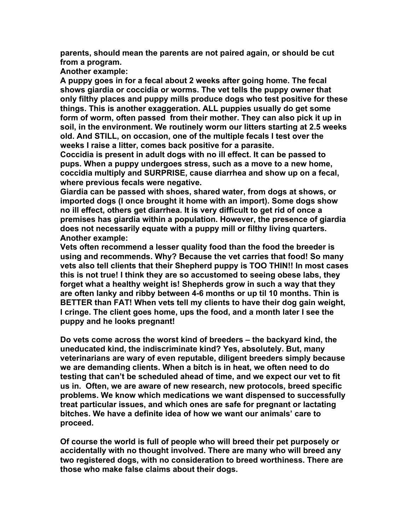**parents, should mean the parents are not paired again, or should be cut from a program.**

**Another example:**

**A puppy goes in for a fecal about 2 weeks after going home. The fecal shows giardia or coccidia or worms. The vet tells the puppy owner that only filthy places and puppy mills produce dogs who test positive for these things. This is another exaggeration. ALL puppies usually do get some form of worm, often passed from their mother. They can also pick it up in soil, in the environment. We routinely worm our litters starting at 2.5 weeks old. And STILL, on occasion, one of the multiple fecals I test over the weeks I raise a litter, comes back positive for a parasite.** 

**Coccidia is present in adult dogs with no ill effect. It can be passed to pups. When a puppy undergoes stress, such as a move to a new home, coccidia multiply and SURPRISE, cause diarrhea and show up on a fecal, where previous fecals were negative.**

**Giardia can be passed with shoes, shared water, from dogs at shows, or imported dogs (I once brought it home with an import). Some dogs show no ill effect, others get diarrhea. It is very difficult to get rid of once a premises has giardia within a population. However, the presence of giardia does not necessarily equate with a puppy mill or filthy living quarters. Another example:** 

**Vets often recommend a lesser quality food than the food the breeder is using and recommends. Why? Because the vet carries that food! So many vets also tell clients that their Shepherd puppy is TOO THIN!! In most cases this is not true! I think they are so accustomed to seeing obese labs, they forget what a healthy weight is! Shepherds grow in such a way that they are often lanky and ribby between 4-6 months or up til 10 months. Thin is BETTER than FAT! When vets tell my clients to have their dog gain weight, I cringe. The client goes home, ups the food, and a month later I see the puppy and he looks pregnant!**

**Do vets come across the worst kind of breeders – the backyard kind, the uneducated kind, the indiscriminate kind? Yes, absolutely. But, many veterinarians are wary of even reputable, diligent breeders simply because we are demanding clients. When a bitch is in heat, we often need to do testing that can't be scheduled ahead of time, and we expect our vet to fit us in. Often, we are aware of new research, new protocols, breed specific problems. We know which medications we want dispensed to successfully treat particular issues, and which ones are safe for pregnant or lactating bitches. We have a definite idea of how we want our animals' care to proceed.** 

**Of course the world is full of people who will breed their pet purposely or accidentally with no thought involved. There are many who will breed any two registered dogs, with no consideration to breed worthiness. There are those who make false claims about their dogs.**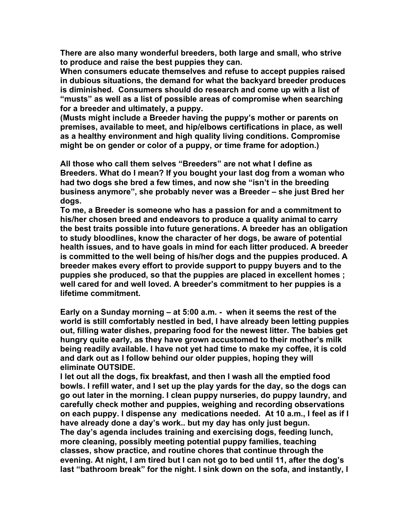**There are also many wonderful breeders, both large and small, who strive to produce and raise the best puppies they can.** 

**When consumers educate themselves and refuse to accept puppies raised in dubious situations, the demand for what the backyard breeder produces is diminished. Consumers should do research and come up with a list of "musts" as well as a list of possible areas of compromise when searching for a breeder and ultimately, a puppy.**

**(Musts might include a Breeder having the puppy's mother or parents on premises, available to meet, and hip/elbows certifications in place, as well as a healthy environment and high quality living conditions. Compromise might be on gender or color of a puppy, or time frame for adoption.)**

**All those who call them selves "Breeders" are not what I define as Breeders. What do I mean? If you bought your last dog from a woman who had two dogs she bred a few times, and now she "isn't in the breeding business anymore", she probably never was a Breeder – she just Bred her dogs.**

**To me, a Breeder is someone who has a passion for and a commitment to his/her chosen breed and endeavors to produce a quality animal to carry the best traits possible into future generations. A breeder has an obligation to study bloodlines, know the character of her dogs, be aware of potential health issues, and to have goals in mind for each litter produced. A breeder is committed to the well being of his/her dogs and the puppies produced. A breeder makes every effort to provide support to puppy buyers and to the puppies she produced, so that the puppies are placed in excellent homes ; well cared for and well loved. A breeder's commitment to her puppies is a lifetime commitment.**

**Early on a Sunday morning – at 5:00 a.m. - when it seems the rest of the world is still comfortably nestled in bed, I have already been letting puppies out, filling water dishes, preparing food for the newest litter. The babies get hungry quite early, as they have grown accustomed to their mother's milk being readily available. I have not yet had time to make my coffee, it is cold and dark out as I follow behind our older puppies, hoping they will eliminate OUTSIDE.** 

**I let out all the dogs, fix breakfast, and then I wash all the emptied food bowls. I refill water, and I set up the play yards for the day, so the dogs can go out later in the morning. I clean puppy nurseries, do puppy laundry, and carefully check mother and puppies, weighing and recording observations on each puppy. I dispense any medications needed. At 10 a.m., I feel as if I have already done a day's work.. but my day has only just begun. The day's agenda includes training and exercising dogs, feeding lunch, more cleaning, possibly meeting potential puppy families, teaching classes, show practice, and routine chores that continue through the evening. At night, I am tired but I can not go to bed until 11, after the dog's last "bathroom break" for the night. I sink down on the sofa, and instantly, I**